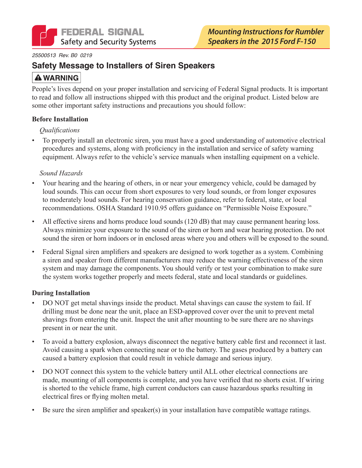

#### 25500513 Rev. B0 0219

### **Safety Message to Installers of Siren Speakers**

# **A WARNING**

People's lives depend on your proper installation and servicing of Federal Signal products. It is important to read and follow all instructions shipped with this product and the original product. Listed below are some other important safety instructions and precautions you should follow:

#### **Before Installation**

#### *Oualifications*

To properly install an electronic siren, you must have a good understanding of automotive electrical procedures and systems, along with proficiency in the installation and service of safety warning equipment. Always refer to the vehicle's service manuals when installing equipment on a vehicle.

#### Sound Hazards

- Your hearing and the hearing of others, in or near your emergency vehicle, could be damaged by  $\bullet$ loud sounds. This can occur from short exposures to very loud sounds, or from longer exposures to moderately loud sounds. For hearing conservation guidance, refer to federal, state, or local recommendations. OSHA Standard 1910.95 offers guidance on "Permissible Noise Exposure."
- All effective sirens and horns produce loud sounds (120 dB) that may cause permanent hearing loss. Always minimize your exposure to the sound of the siren or horn and wear hearing protection. Do not sound the siren or horn indoors or in enclosed areas where you and others will be exposed to the sound.
- Federal Signal siren amplifiers and speakers are designed to work together as a system. Combining a siren and speaker from different manufacturers may reduce the warning effectiveness of the siren system and may damage the components. You should verify or test your combination to make sure the system works together properly and meets federal, state and local standards or guidelines.

#### **During Installation**

- DO NOT get metal shavings inside the product. Metal shavings can cause the system to fail. If drilling must be done near the unit, place an ESD-approved cover over the unit to prevent metal shavings from entering the unit. Inspect the unit after mounting to be sure there are no shavings present in or near the unit.
- To avoid a battery explosion, always disconnect the negative battery cable first and reconnect it last. Avoid causing a spark when connecting near or to the battery. The gases produced by a battery can caused a battery explosion that could result in vehicle damage and serious injury.
- DO NOT connect this system to the vehicle battery until ALL other electrical connections are  $\bullet$ made, mounting of all components is complete, and you have verified that no shorts exist. If wiring is shorted to the vehicle frame, high current conductors can cause hazardous sparks resulting in electrical fires or flying molten metal.
- Be sure the siren amplifier and speaker(s) in your installation have compatible wattage ratings.  $\bullet$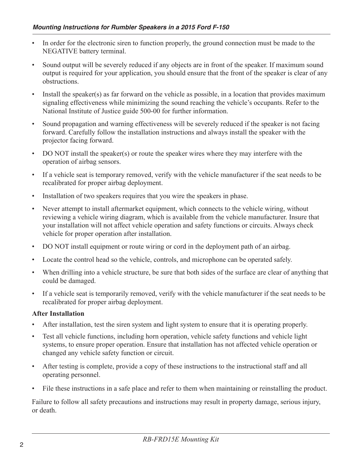- In order for the electronic siren to function properly, the ground connection must be made to the NEGATIVE battery terminal.
- Sound output will be severely reduced if any objects are in front of the speaker. If maximum sound output is required for your application, you should ensure that the front of the speaker is clear of any obstructions.
- Install the speaker(s) as far forward on the vehicle as possible, in a location that provides maximum signaling effectiveness while minimizing the sound reaching the vehicle's occupants. Refer to the National Institute of Justice guide 500-00 for further information.
- Sound propagation and warning effectiveness will be severely reduced if the speaker is not facing  $\bullet$ forward. Carefully follow the installation instructions and always install the speaker with the projector facing forward.
- DO NOT install the speaker(s) or route the speaker wires where they may interfere with the operation of airbag sensors.
- If a vehicle seat is temporary removed, verify with the vehicle manufacturer if the seat needs to be recalibrated for proper airbag deployment.
- Installation of two speakers requires that you wire the speakers in phase.  $\bullet$
- Never attempt to install aftermarket equipment, which connects to the vehicle wiring, without reviewing a vehicle wiring diagram, which is available from the vehicle manufacturer. Insure that your installation will not affect vehicle operation and safety functions or circuits. Always check vehicle for proper operation after installation.
- DO NOT install equipment or route wiring or cord in the deployment path of an airbag.  $\bullet$
- Locate the control head so the vehicle, controls, and microphone can be operated safely.  $\bullet$
- When drilling into a vehicle structure, be sure that both sides of the surface are clear of anything that  $\bullet$ could be damaged.
- If a vehicle seat is temporarily removed, verify with the vehicle manufacturer if the seat needs to be recalibrated for proper airbag deployment.

#### **After Installation**

- After installation, test the siren system and light system to ensure that it is operating properly.
- Test all vehicle functions, including horn operation, vehicle safety functions and vehicle light  $\bullet$ systems, to ensure proper operation. Ensure that installation has not affected vehicle operation or changed any vehicle safety function or circuit.
- After testing is complete, provide a copy of these instructions to the instructional staff and all  $\bullet$ operating personnel.
- File these instructions in a safe place and refer to them when maintaining or reinstalling the product.

Failure to follow all safety precautions and instructions may result in property damage, serious injury, or death.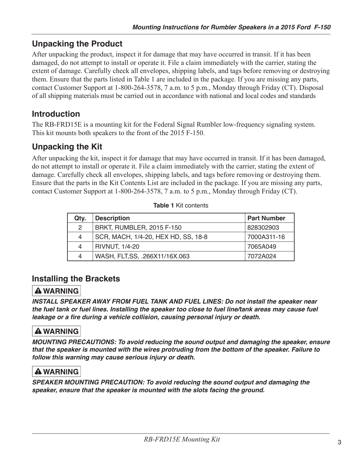# **Unpacking the Product**

After unpacking the product, inspect it for damage that may have occurred in transit. If it has been damaged, do not attempt to install or operate it. File a claim immediately with the carrier, stating the extent of damage. Carefully check all envelopes, shipping labels, and tags before removing or destroying them. Ensure that the parts listed in Table 1 are included in the package. If you are missing any parts, contact Customer Support at 1-800-264-3578, 7 a.m. to 5 p.m., Monday through Friday (CT). Disposal of all shipping materials must be carried out in accordance with national and local codes and standards

# **Introduction**

The RB-FRD15E is a mounting kit for the Federal Signal Rumbler low-frequency signaling system. This kit mounts both speakers to the front of the 2015 F-150.

# **Unpacking the Kit**

After unpacking the kit, inspect it for damage that may have occurred in transit. If it has been damaged, do not attempt to install or operate it. File a claim immediately with the carrier, stating the extent of damage. Carefully check all envelopes, shipping labels, and tags before removing or destroying them. Ensure that the parts in the Kit Contents List are included in the package. If you are missing any parts, contact Customer Support at 1-800-264-3578, 7 a.m. to 5 p.m., Monday through Friday (CT).

| Qty. | <b>Description</b>                  | <b>Part Number</b> |
|------|-------------------------------------|--------------------|
| 2    | BRKT, RUMBLER, 2015 F-150           | 828302903          |
| 4    | SCR, MACH, 1/4-20, HEX HD, SS, 18-8 | 7000A311-16        |
| 4    | <b>RIVNUT, 1/4-20</b>               | 7065A049           |
| 4    | WASH, FLT, SS, .266X11/16X.063      | 7072A024           |

|  | <b>Fable 1 Kit contents</b> |
|--|-----------------------------|
|  |                             |

## **Installing the Brackets**

## **A WARNING**

INSTALL SPEAKER AWAY FROM FUEL TANK AND FUEL LINES: Do not install the speaker near the fuel tank or fuel lines. Installing the speaker too close to fuel line/tank areas may cause fuel leakage or a fire during a vehicle collision, causing personal injury or death.

## **A WARNING**

MOUNTING PRECAUTIONS: To avoid reducing the sound output and damaging the speaker, ensure that the speaker is mounted with the wires protruding from the bottom of the speaker. Failure to follow this warning may cause serious injury or death.

## **A WARNING**

SPEAKER MOUNTING PRECAUTION: To avoid reducing the sound output and damaging the speaker, ensure that the speaker is mounted with the slots facing the ground.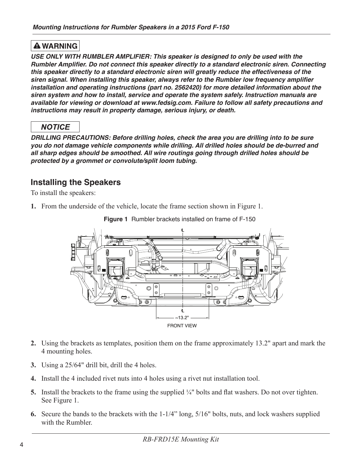### **A WARNING**

USE ONLY WITH RUMBLER AMPLIFIER: This speaker is designed to only be used with the Rumbler Amplifier. Do not connect this speaker directly to a standard electronic siren. Connecting this speaker directly to a standard electronic siren will greatly reduce the effectiveness of the siren signal. When installing this speaker, always refer to the Rumbler low frequency amplifier installation and operating instructions (part no. 2562420) for more detailed information about the siren system and how to install, service and operate the system safely. Instruction manuals are available for viewing or download at www.fedsig.com. Failure to follow all safety precautions and instructions may result in property damage, serious injury, or death.

## **NOTICE**

DRILLING PRECAUTIONS: Before drilling holes, check the area you are drilling into to be sure you do not damage vehicle components while drilling. All drilled holes should be de-burred and all sharp edges should be smoothed. All wire routings going through drilled holes should be protected by a grommet or convolute/split loom tubing.

## **Installing the Speakers**

To install the speakers:

1. From the underside of the vehicle, locate the frame section shown in Figure 1.



Figure 1 Rumbler brackets installed on frame of F-150

- 2. Using the brackets as templates, position them on the frame approximately 13.2" apart and mark the 4 mounting holes.
- 3. Using a 25/64" drill bit, drill the 4 holes.
- 4. Install the 4 included rivet nuts into 4 holes using a rivet nut installation tool.
- 5. Install the brackets to the frame using the supplied  $\frac{1}{4}$ " bolts and flat washers. Do not over tighten. See Figure 1.
- 6. Secure the bands to the brackets with the 1-1/4" long, 5/16" bolts, nuts, and lock washers supplied with the Rumbler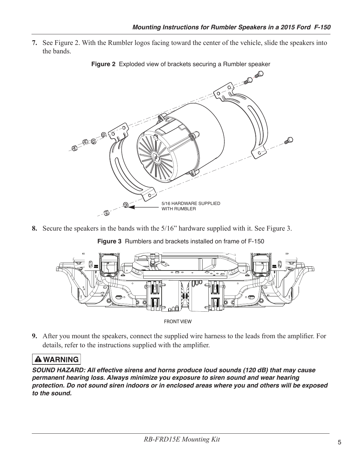7. See Figure 2. With the Rumbler logos facing toward the center of the vehicle, slide the speakers into the bands.



Figure 2 Exploded view of brackets securing a Rumbler speaker

8. Secure the speakers in the bands with the 5/16" hardware supplied with it. See Figure 3.

Figure 3 Rumblers and brackets installed on frame of F-150



**FRONT VIEW** 

9. After you mount the speakers, connect the supplied wire harness to the leads from the amplifier. For details, refer to the instructions supplied with the amplifier.

### **A WARNING**

SOUND HAZARD: All effective sirens and horns produce loud sounds (120 dB) that may cause permanent hearing loss. Always minimize you exposure to siren sound and wear hearing protection. Do not sound siren indoors or in enclosed areas where you and others will be exposed to the sound.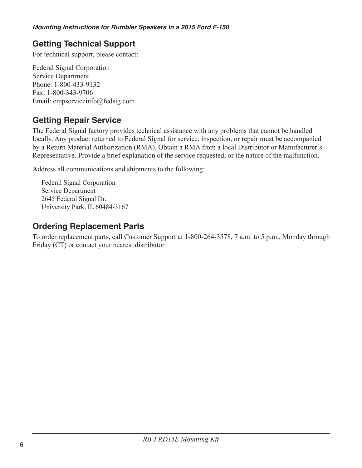# **Getting Technical Support**

For technical support, please contact:

**Federal Signal Corporation Service Department** Phone: 1-800-433-9132 Fax: 1-800-343-9706 Email: empserviceinfo@fedsig.com

## **Getting Repair Service**

The Federal Signal factory provides technical assistance with any problems that cannot be handled locally. Any product returned to Federal Signal for service, inspection, or repair must be accompanied by a Return Material Authorization (RMA). Obtain a RMA from a local Distributor or Manufacturer's Representative. Provide a brief explanation of the service requested, or the nature of the malfunction.

Address all communications and shipments to the following:

**Federal Signal Corporation Service Department** 2645 Federal Signal Dr. University Park, IL 60484-3167

## **Ordering Replacement Parts**

To order replacement parts, call Customer Support at 1-800-264-3578, 7 a.m. to 5 p.m., Monday through Friday (CT) or contact your nearest distributor.